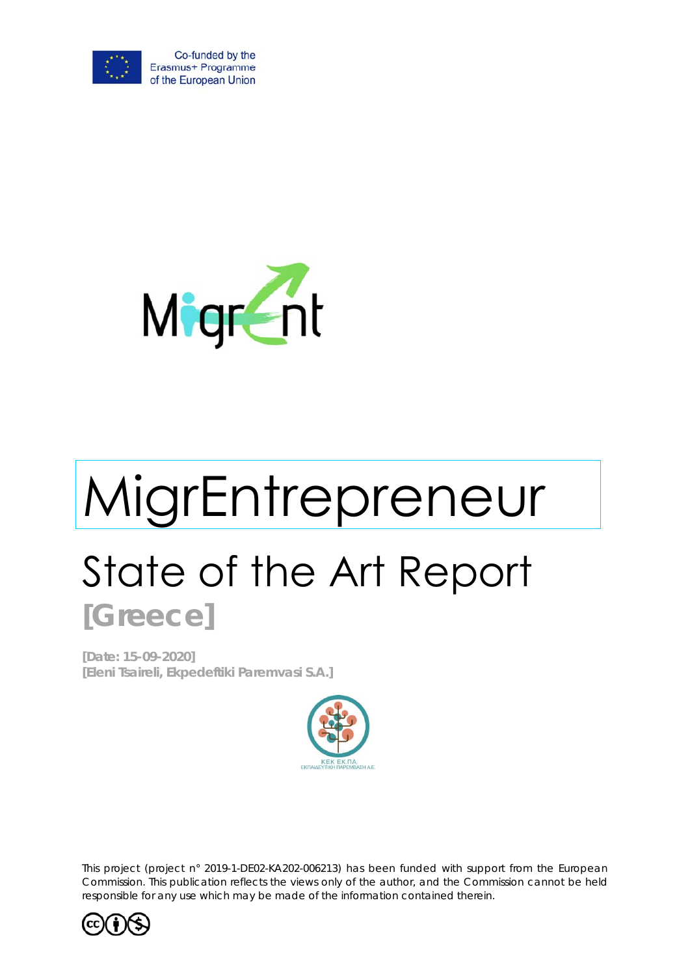



# MigrEntrepreneur State of the Art Report **[Greece]**

**[Date: 15-09-2020] [Eleni Tsaireli, Ekpedeftiki Paremvasi S.A.]**



*This project (project n° 2019-1-DE02-KA202-006213) has been funded with support from the European Commission. This publication reflects the views only of the author, and the Commission cannot be held*  responsible for any use which may be made of the information contained therein.

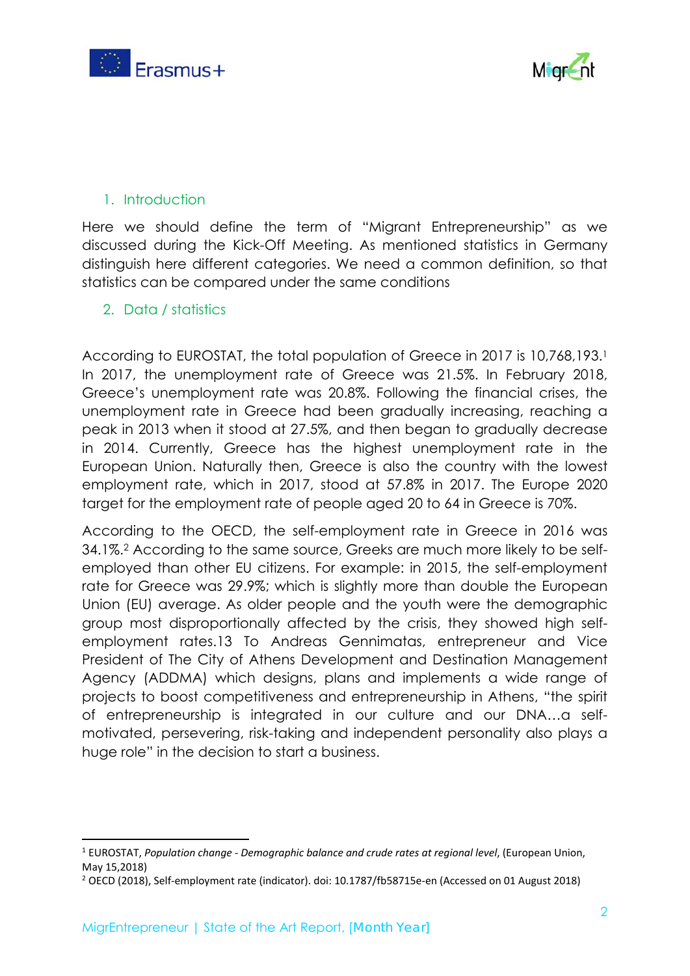



### 1. Introduction

Here we should define the term of "Migrant Entrepreneurship" as we discussed during the Kick-Off Meeting. As mentioned statistics in Germany distinguish here different categories. We need a common definition, so that statistics can be compared under the same conditions

#### 2. Data / statistics

According to EUROSTAT, the total population of Greece in 2017 is 10,768,193.1 In 2017, the unemployment rate of Greece was 21.5%. In February 2018, Greece's unemployment rate was 20.8%. Following the financial crises, the unemployment rate in Greece had been gradually increasing, reaching a peak in 2013 when it stood at 27.5%, and then began to gradually decrease in 2014. Currently, Greece has the highest unemployment rate in the European Union. Naturally then, Greece is also the country with the lowest employment rate, which in 2017, stood at 57.8% in 2017. The Europe 2020 target for the employment rate of people aged 20 to 64 in Greece is 70%.

According to the OECD, the self-employment rate in Greece in 2016 was 34.1%.2 According to the same source, Greeks are much more likely to be selfemployed than other EU citizens. For example: in 2015, the self-employment rate for Greece was 29.9%; which is slightly more than double the European Union (EU) average. As older people and the youth were the demographic group most disproportionally affected by the crisis, they showed high selfemployment rates.13 To Andreas Gennimatas, entrepreneur and Vice President of The City of Athens Development and Destination Management Agency (ADDMA) which designs, plans and implements a wide range of projects to boost competitiveness and entrepreneurship in Athens, "the spirit of entrepreneurship is integrated in our culture and our DNA…a selfmotivated, persevering, risk-taking and independent personality also plays a huge role" in the decision to start a business.

<sup>1</sup> EUROSTAT, *Population change ‐ Demographic balance and crude rates at regional level*, (European Union, May 15,2018)

<sup>2</sup> OECD (2018), Self‐employment rate (indicator). doi: 10.1787/fb58715e‐en (Accessed on 01 August 2018)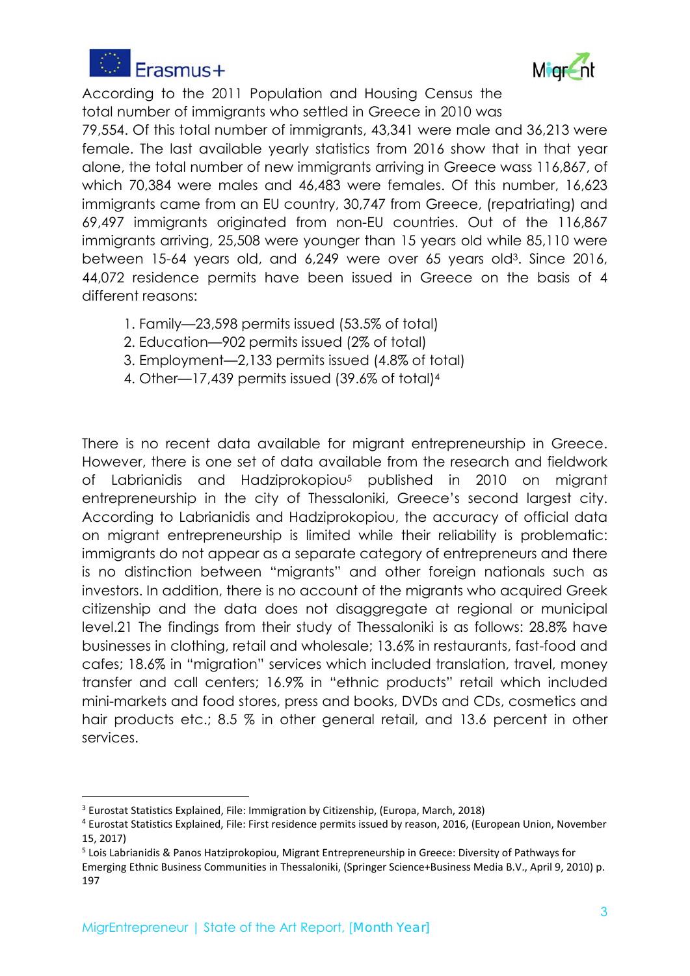



According to the 2011 Population and Housing Census the total number of immigrants who settled in Greece in 2010 was

79,554. Of this total number of immigrants, 43,341 were male and 36,213 were female. The last available yearly statistics from 2016 show that in that year alone, the total number of new immigrants arriving in Greece wass 116,867, of which 70,384 were males and 46,483 were females. Of this number, 16,623 immigrants came from an EU country, 30,747 from Greece, (repatriating) and 69,497 immigrants originated from non-EU countries. Out of the 116,867 immigrants arriving, 25,508 were younger than 15 years old while 85,110 were between 15-64 years old, and 6,249 were over 65 years old3. Since 2016, 44,072 residence permits have been issued in Greece on the basis of 4 different reasons:

- 1. Family—23,598 permits issued (53.5% of total)
- 2. Education—902 permits issued (2% of total)
- 3. Employment—2,133 permits issued (4.8% of total)
- 4. Other—17,439 permits issued (39.6% of total)4

There is no recent data available for migrant entrepreneurship in Greece. However, there is one set of data available from the research and fieldwork of Labrianidis and Hadziprokopiou<sup>5</sup> published in 2010 on migrant entrepreneurship in the city of Thessaloniki, Greece's second largest city. According to Labrianidis and Hadziprokopiou, the accuracy of official data on migrant entrepreneurship is limited while their reliability is problematic: immigrants do not appear as a separate category of entrepreneurs and there is no distinction between "migrants" and other foreign nationals such as investors. In addition, there is no account of the migrants who acquired Greek citizenship and the data does not disaggregate at regional or municipal level.21 The findings from their study of Thessaloniki is as follows: 28.8% have businesses in clothing, retail and wholesale; 13.6% in restaurants, fast-food and cafes; 18.6% in "migration" services which included translation, travel, money transfer and call centers; 16.9% in "ethnic products" retail which included mini-markets and food stores, press and books, DVDs and CDs, cosmetics and hair products etc.; 8.5 % in other general retail, and 13.6 percent in other services.

<sup>&</sup>lt;sup>3</sup> Eurostat Statistics Explained, File: Immigration by Citizenship, (Europa, March, 2018)

<sup>4</sup> Eurostat Statistics Explained, File: First residence permits issued by reason, 2016, (European Union, November 15, 2017)

<sup>5</sup> Lois Labrianidis & Panos Hatziprokopiou, Migrant Entrepreneurship in Greece: Diversity of Pathways for

Emerging Ethnic Business Communities in Thessaloniki, (Springer Science+Business Media B.V., April 9, 2010) p. 197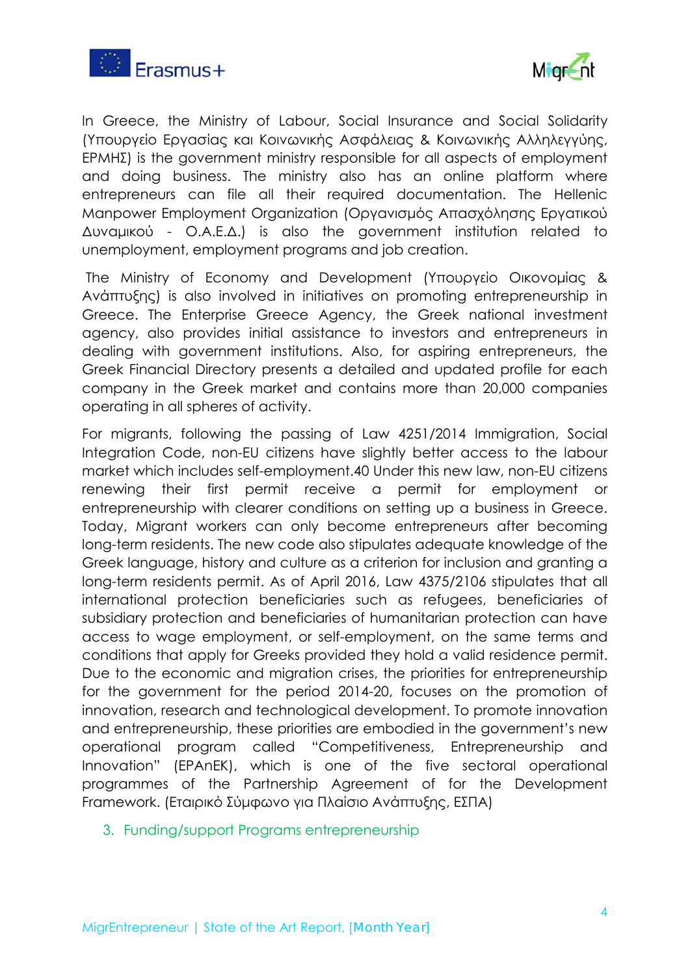



In Greece, the Ministry of Labour, Social Insurance and Social Solidarity (Υπουργείο Εργασίας και Κοινωνικής Ασφάλειας & Κοινωνικής Αλληλεγγύης, ΕΡΜΗΣ) is the government ministry responsible for all aspects of employment and doing business. The ministry also has an online platform where entrepreneurs can file all their required documentation. The Hellenic Manpower Employment Organization (Οργανισμός Απασχόλησης Εργατικού Δυναμικού - Ο.Α.Ε.Δ.) is also the government institution related to unemployment, employment programs and job creation.

 The Ministry of Economy and Development (Υπουργείο Οικονομίας & Ανάπτυξης) is also involved in initiatives on promoting entrepreneurship in Greece. The Enterprise Greece Agency, the Greek national investment agency, also provides initial assistance to investors and entrepreneurs in dealing with government institutions. Also, for aspiring entrepreneurs, the Greek Financial Directory presents a detailed and updated profile for each company in the Greek market and contains more than 20,000 companies operating in all spheres of activity.

For migrants, following the passing of Law 4251/2014 Immigration, Social Integration Code, non-EU citizens have slightly better access to the labour market which includes self-employment.40 Under this new law, non-EU citizens renewing their first permit receive a permit for employment or entrepreneurship with clearer conditions on setting up a business in Greece. Today, Migrant workers can only become entrepreneurs after becoming long-term residents. The new code also stipulates adequate knowledge of the Greek language, history and culture as a criterion for inclusion and granting a long-term residents permit. As of April 2016, Law 4375/2106 stipulates that all international protection beneficiaries such as refugees, beneficiaries of subsidiary protection and beneficiaries of humanitarian protection can have access to wage employment, or self-employment, on the same terms and conditions that apply for Greeks provided they hold a valid residence permit. Due to the economic and migration crises, the priorities for entrepreneurship for the government for the period 2014-20, focuses on the promotion of innovation, research and technological development. To promote innovation and entrepreneurship, these priorities are embodied in the government's new operational program called "Competitiveness, Entrepreneurship and Innovation" (EPAnEK), which is one of the five sectoral operational programmes of the Partnership Agreement of for the Development Framework. (Εταιρικό Σύμφωνο για Πλαίσιο Ανάπτυξης, ΕΣΠΑ)

3. Funding/support Programs entrepreneurship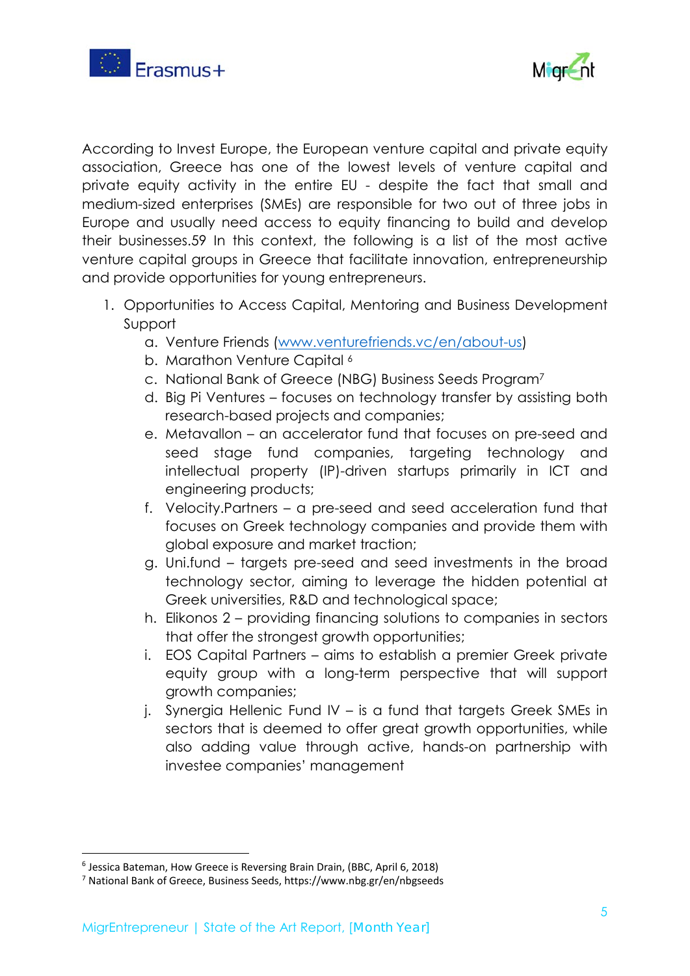



According to Invest Europe, the European venture capital and private equity association, Greece has one of the lowest levels of venture capital and private equity activity in the entire EU - despite the fact that small and medium-sized enterprises (SMEs) are responsible for two out of three jobs in Europe and usually need access to equity financing to build and develop their businesses.59 In this context, the following is a list of the most active venture capital groups in Greece that facilitate innovation, entrepreneurship and provide opportunities for young entrepreneurs.

- 1. Opportunities to Access Capital, Mentoring and Business Development Support
	- a. Venture Friends (www.venturefriends.vc/en/about-us)
	- b. Marathon Venture Capital<sup>6</sup>
	- c. National Bank of Greece (NBG) Business Seeds Program7
	- d. Big Pi Ventures focuses on technology transfer by assisting both research-based projects and companies;
	- e. Metavallon an accelerator fund that focuses on pre-seed and seed stage fund companies, targeting technology and intellectual property (IP)-driven startups primarily in ICT and engineering products;
	- f. Velocity.Partners a pre-seed and seed acceleration fund that focuses on Greek technology companies and provide them with global exposure and market traction;
	- g. Uni.fund targets pre-seed and seed investments in the broad technology sector, aiming to leverage the hidden potential at Greek universities, R&D and technological space;
	- h. Elikonos 2 providing financing solutions to companies in sectors that offer the strongest growth opportunities;
	- i. EOS Capital Partners aims to establish a premier Greek private equity group with a long-term perspective that will support growth companies;
	- j. Synergia Hellenic Fund IV is a fund that targets Greek SMEs in sectors that is deemed to offer great growth opportunities, while also adding value through active, hands-on partnership with investee companies' management

<sup>6</sup> Jessica Bateman, How Greece is Reversing Brain Drain, (BBC, April 6, 2018)

<sup>7</sup> National Bank of Greece, Business Seeds, https://www.nbg.gr/en/nbgseeds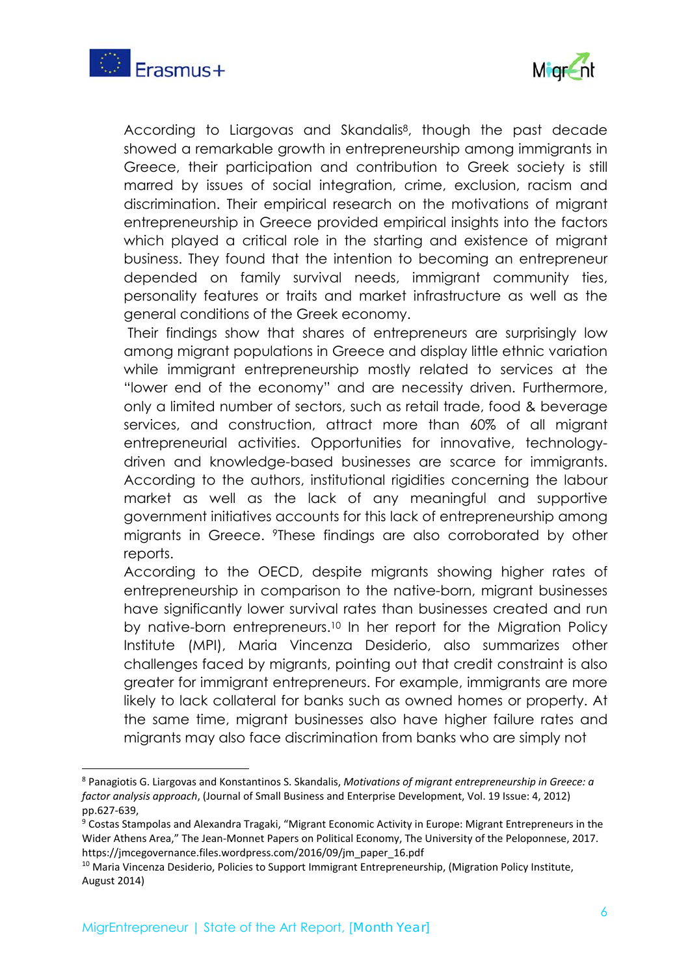



According to Liargovas and Skandalis<sup>8</sup>, though the past decade showed a remarkable growth in entrepreneurship among immigrants in Greece, their participation and contribution to Greek society is still marred by issues of social integration, crime, exclusion, racism and discrimination. Their empirical research on the motivations of migrant entrepreneurship in Greece provided empirical insights into the factors which played a critical role in the starting and existence of migrant business. They found that the intention to becoming an entrepreneur depended on family survival needs, immigrant community ties, personality features or traits and market infrastructure as well as the general conditions of the Greek economy.

 Their findings show that shares of entrepreneurs are surprisingly low among migrant populations in Greece and display little ethnic variation while immigrant entrepreneurship mostly related to services at the "lower end of the economy" and are necessity driven. Furthermore, only a limited number of sectors, such as retail trade, food & beverage services, and construction, attract more than 60% of all migrant entrepreneurial activities. Opportunities for innovative, technologydriven and knowledge-based businesses are scarce for immigrants. According to the authors, institutional rigidities concerning the labour market as well as the lack of any meaningful and supportive government initiatives accounts for this lack of entrepreneurship among migrants in Greece. 9These findings are also corroborated by other reports.

According to the OECD, despite migrants showing higher rates of entrepreneurship in comparison to the native-born, migrant businesses have significantly lower survival rates than businesses created and run by native-born entrepreneurs.<sup>10</sup> In her report for the Migration Policy Institute (MPI), Maria Vincenza Desiderio, also summarizes other challenges faced by migrants, pointing out that credit constraint is also greater for immigrant entrepreneurs. For example, immigrants are more likely to lack collateral for banks such as owned homes or property. At the same time, migrant businesses also have higher failure rates and migrants may also face discrimination from banks who are simply not

<sup>8</sup> Panagiotis G. Liargovas and Konstantinos S. Skandalis, *Motivations of migrant entrepreneurship in Greece: a factor analysis approach*, (Journal of Small Business and Enterprise Development, Vol. 19 Issue: 4, 2012) pp.627‐639,

<sup>&</sup>lt;sup>9</sup> Costas Stampolas and Alexandra Tragaki, "Migrant Economic Activity in Europe: Migrant Entrepreneurs in the Wider Athens Area," The Jean‐Monnet Papers on Political Economy, The University of the Peloponnese, 2017. https://jmcegovernance.files.wordpress.com/2016/09/jm\_paper\_16.pdf

<sup>&</sup>lt;sup>10</sup> Maria Vincenza Desiderio, Policies to Support Immigrant Entrepreneurship, (Migration Policy Institute, August 2014)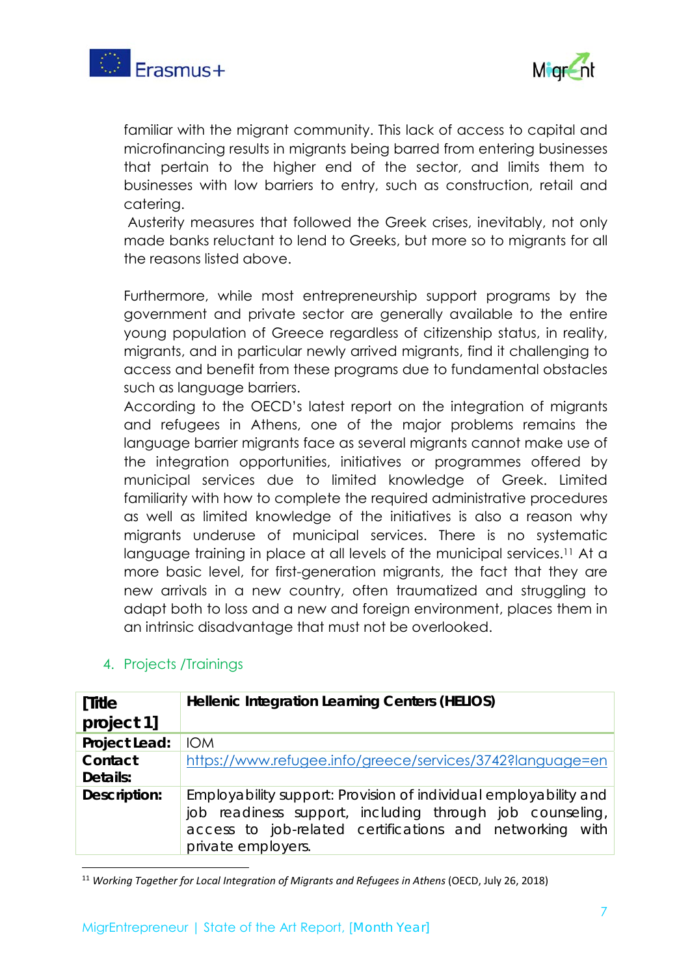



familiar with the migrant community. This lack of access to capital and microfinancing results in migrants being barred from entering businesses that pertain to the higher end of the sector, and limits them to businesses with low barriers to entry, such as construction, retail and catering.

 Austerity measures that followed the Greek crises, inevitably, not only made banks reluctant to lend to Greeks, but more so to migrants for all the reasons listed above.

Furthermore, while most entrepreneurship support programs by the government and private sector are generally available to the entire young population of Greece regardless of citizenship status, in reality, migrants, and in particular newly arrived migrants, find it challenging to access and benefit from these programs due to fundamental obstacles such as language barriers.

According to the OECD's latest report on the integration of migrants and refugees in Athens, one of the major problems remains the language barrier migrants face as several migrants cannot make use of the integration opportunities, initiatives or programmes offered by municipal services due to limited knowledge of Greek. Limited familiarity with how to complete the required administrative procedures as well as limited knowledge of the initiatives is also a reason why migrants underuse of municipal services. There is no systematic language training in place at all levels of the municipal services.<sup>11</sup> At a more basic level, for first-generation migrants, the fact that they are new arrivals in a new country, often traumatized and struggling to adapt both to loss and a new and foreign environment, places them in an intrinsic disadvantage that must not be overlooked.

| [Title              | Hellenic Integration Learning Centers (HELIOS)                                                                                                                                                                 |
|---------------------|----------------------------------------------------------------------------------------------------------------------------------------------------------------------------------------------------------------|
| project 1]          |                                                                                                                                                                                                                |
| Project Lead:       | <b>IOM</b>                                                                                                                                                                                                     |
| Contact<br>Details: | https://www.refugee.info/greece/services/3742?language=en                                                                                                                                                      |
| Description:        | Employability support: Provision of individual employability and<br>job readiness support, including through job counseling,<br>access to job-related certifications and networking with<br>private employers. |

## 4. Projects /Trainings

 <sup>11</sup> Working Together for Local Integration of Migrants and Refugees in Athens (OECD, July 26, 2018)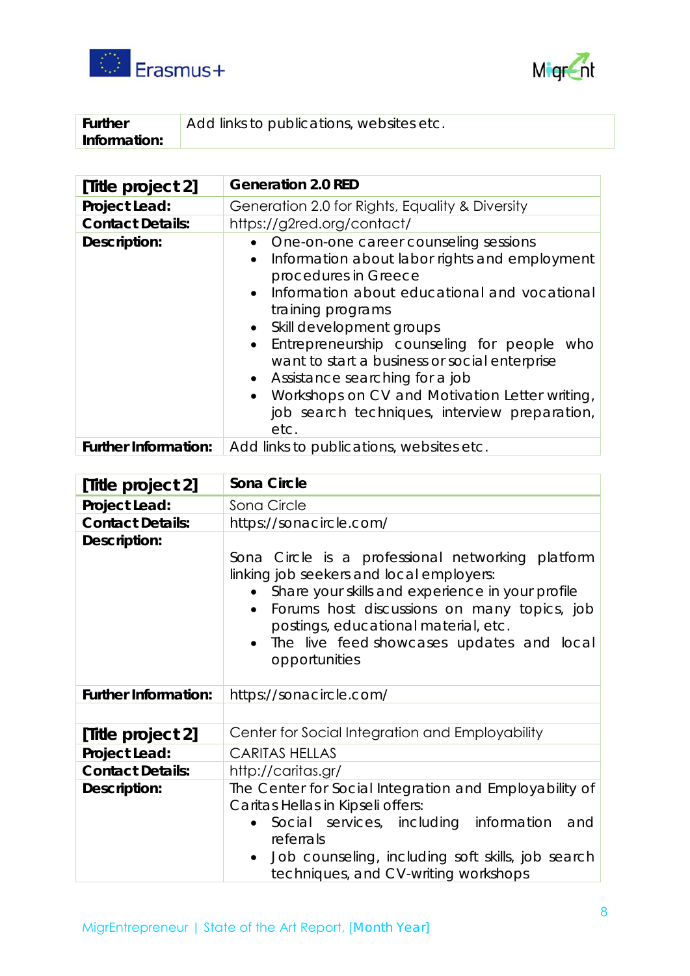



| <b>Further</b> | Add links to publications, websites etc. |
|----------------|------------------------------------------|
| Information:   |                                          |

| [Title project 2]           | <b>Generation 2.0 RED</b>                                                                                                                                                                                                                                                                                                                                                                                                                                                    |
|-----------------------------|------------------------------------------------------------------------------------------------------------------------------------------------------------------------------------------------------------------------------------------------------------------------------------------------------------------------------------------------------------------------------------------------------------------------------------------------------------------------------|
| Project Lead:               | Generation 2.0 for Rights, Equality & Diversity                                                                                                                                                                                                                                                                                                                                                                                                                              |
| <b>Contact Details:</b>     | https://g2red.org/contact/                                                                                                                                                                                                                                                                                                                                                                                                                                                   |
| Description:                | One-on-one career counseling sessions<br>Information about labor rights and employment<br>$\bullet$<br>procedures in Greece<br>Information about educational and vocational<br>training programs<br>• Skill development groups<br>Entrepreneurship counseling for people who<br>want to start a business or social enterprise<br>• Assistance searching for a job<br>Workshops on CV and Motivation Letter writing,<br>job search techniques, interview preparation,<br>etc. |
| <b>Further Information:</b> | Add links to publications, websites etc.                                                                                                                                                                                                                                                                                                                                                                                                                                     |

| [Title project 2]           | Sona Circle                                                                                                                                                                                                                                                                                            |
|-----------------------------|--------------------------------------------------------------------------------------------------------------------------------------------------------------------------------------------------------------------------------------------------------------------------------------------------------|
| Project Lead:               | Sona Circle                                                                                                                                                                                                                                                                                            |
| <b>Contact Details:</b>     | https://sonacircle.com/                                                                                                                                                                                                                                                                                |
| Description:                | Sona Circle is a professional networking platform<br>linking job seekers and local employers:<br>Share your skills and experience in your profile<br>Forums host discussions on many topics, job<br>postings, educational material, etc.<br>The live feed showcases updates and local<br>opportunities |
| <b>Further Information:</b> | https://sonacircle.com/                                                                                                                                                                                                                                                                                |
|                             |                                                                                                                                                                                                                                                                                                        |
| [Title project 2]           | Center for Social Integration and Employability                                                                                                                                                                                                                                                        |
| Project Lead:               | <b>CARITAS HELLAS</b>                                                                                                                                                                                                                                                                                  |
| <b>Contact Details:</b>     | http://caritas.gr/                                                                                                                                                                                                                                                                                     |
| Description:                | The Center for Social Integration and Employability of<br>Caritas Hellas in Kipseli offers:<br>Social services, including information<br>and<br>referrals<br>Job counseling, including soft skills, job search<br>$\bullet$<br>techniques, and CV-writing workshops                                    |